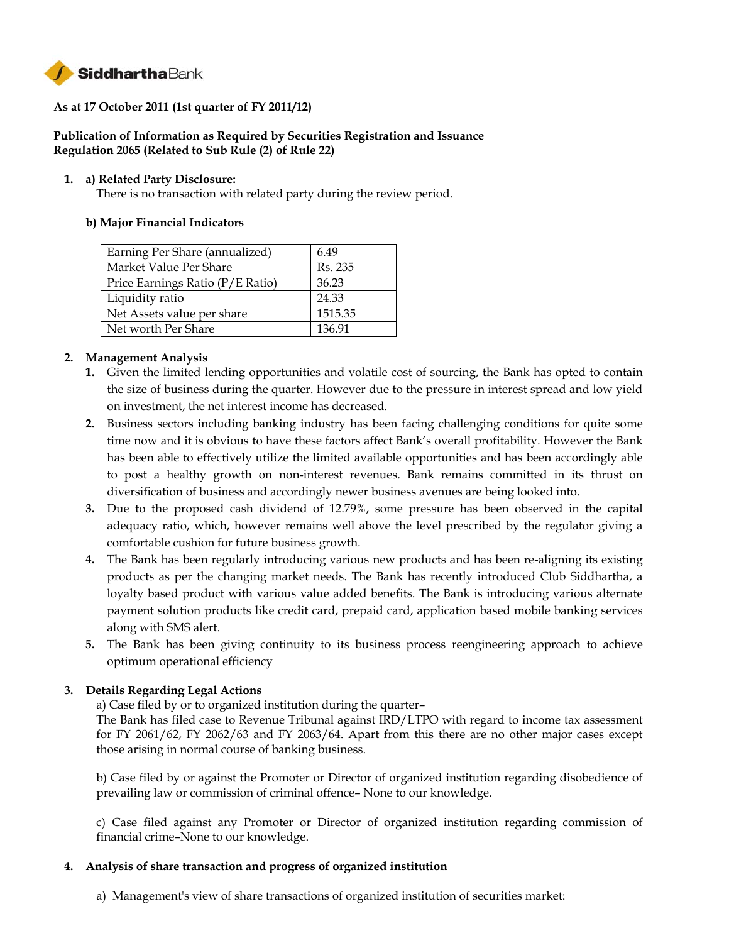

# **As at 17 October 2011 (1st quarter of FY 2011/12)**

# **Publication of Information as Required by Securities Registration and Issuance Regulation 2065 (Related to Sub Rule (2) of Rule 22)**

### **1. a) Related Party Disclosure:**

There is no transaction with related party during the review period.

# **b) Major Financial Indicators**

| Earning Per Share (annualized)   | 6.49    |
|----------------------------------|---------|
| Market Value Per Share           | Rs. 235 |
| Price Earnings Ratio (P/E Ratio) | 36.23   |
| Liquidity ratio                  | 24.33   |
| Net Assets value per share       | 1515.35 |
| Net worth Per Share              | 136.91  |

# **2. Management Analysis**

- **1.** Given the limited lending opportunities and volatile cost of sourcing, the Bank has opted to contain the size of business during the quarter. However due to the pressure in interest spread and low yield on investment, the net interest income has decreased.
- **2.** Business sectors including banking industry has been facing challenging conditions for quite some time now and it is obvious to have these factors affect Bank's overall profitability. However the Bank has been able to effectively utilize the limited available opportunities and has been accordingly able to post a healthy growth on non-interest revenues. Bank remains committed in its thrust on diversification of business and accordingly newer business avenues are being looked into.
- **3.** Due to the proposed cash dividend of 12.79%, some pressure has been observed in the capital adequacy ratio, which, however remains well above the level prescribed by the regulator giving a comfortable cushion for future business growth.
- **4.** The Bank has been regularly introducing various new products and has been re-aligning its existing products as per the changing market needs. The Bank has recently introduced Club Siddhartha, a loyalty based product with various value added benefits. The Bank is introducing various alternate payment solution products like credit card, prepaid card, application based mobile banking services along with SMS alert.
- **5.** The Bank has been giving continuity to its business process reengineering approach to achieve optimum operational efficiency

# **3. Details Regarding Legal Actions**

a) Case filed by or to organized institution during the quarter–

The Bank has filed case to Revenue Tribunal against IRD/LTPO with regard to income tax assessment for FY 2061/62, FY 2062/63 and FY 2063/64. Apart from this there are no other major cases except those arising in normal course of banking business.

b) Case filed by or against the Promoter or Director of organized institution regarding disobedience of prevailing law or commission of criminal offence– None to our knowledge.

c) Case filed against any Promoter or Director of organized institution regarding commission of financial crime–None to our knowledge.

#### **4. Analysis of share transaction and progress of organized institution**

a)Management's view of share transactions of organized institution of securities market: